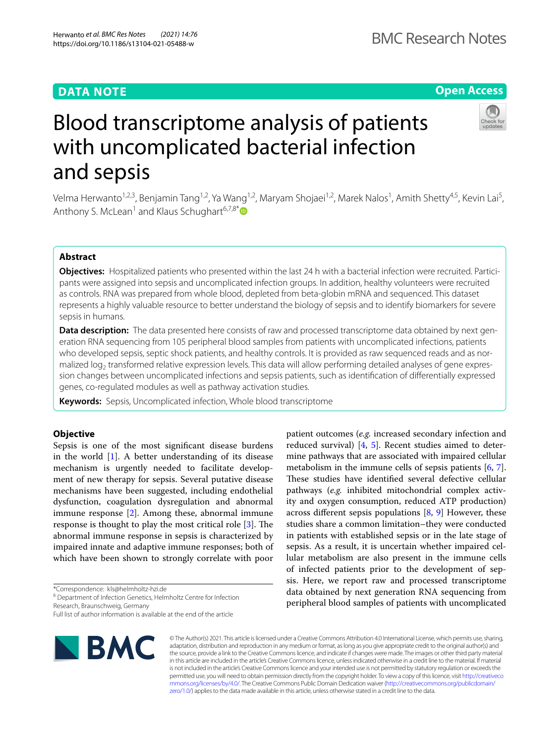# **DATA NOTE**

# **Open Access**



# Blood transcriptome analysis of patients with uncomplicated bacterial infection and sepsis

Velma Herwanto<sup>1,2,3</sup>, Benjamin Tang<sup>1,2</sup>, Ya Wang<sup>1,2</sup>, Maryam Shojaei<sup>1,2</sup>, Marek Nalos<sup>1</sup>, Amith Shetty<sup>4,5</sup>, Kevin Lai<sup>5</sup>, Anthony S. McLean<sup>1</sup> and Klaus Schughart<sup>6,7,8[\\*](http://orcid.org/0000-0002-6824-7523)</sup>

# **Abstract**

**Objectives:** Hospitalized patients who presented within the last 24 h with a bacterial infection were recruited. Participants were assigned into sepsis and uncomplicated infection groups. In addition, healthy volunteers were recruited as controls. RNA was prepared from whole blood, depleted from beta-globin mRNA and sequenced. This dataset represents a highly valuable resource to better understand the biology of sepsis and to identify biomarkers for severe sepsis in humans.

**Data description:** The data presented here consists of raw and processed transcriptome data obtained by next generation RNA sequencing from 105 peripheral blood samples from patients with uncomplicated infections, patients who developed sepsis, septic shock patients, and healthy controls. It is provided as raw sequenced reads and as normalized log<sub>2</sub> transformed relative expression levels. This data will allow performing detailed analyses of gene expression changes between uncomplicated infections and sepsis patients, such as identifcation of diferentially expressed genes, co-regulated modules as well as pathway activation studies.

**Keywords:** Sepsis, Uncomplicated infection, Whole blood transcriptome

## **Objective**

Sepsis is one of the most signifcant disease burdens in the world  $[1]$  $[1]$ . A better understanding of its disease mechanism is urgently needed to facilitate development of new therapy for sepsis. Several putative disease mechanisms have been suggested, including endothelial dysfunction, coagulation dysregulation and abnormal immune response [[2\]](#page-2-1). Among these, abnormal immune response is thought to play the most critical role  $[3]$  $[3]$ . The abnormal immune response in sepsis is characterized by impaired innate and adaptive immune responses; both of which have been shown to strongly correlate with poor

\*Correspondence: kls@helmholtz-hzi.de

<sup>6</sup> Department of Infection Genetics, Helmholtz Centre for Infection Research, Braunschweig, Germany

Full list of author information is available at the end of the article



© The Author(s) 2021. This article is licensed under a Creative Commons Attribution 4.0 International License, which permits use, sharing, adaptation, distribution and reproduction in any medium or format, as long as you give appropriate credit to the original author(s) and the source, provide a link to the Creative Commons licence, and indicate if changes were made. The images or other third party material in this article are included in the article's Creative Commons licence, unless indicated otherwise in a credit line to the material. If material is not included in the article's Creative Commons licence and your intended use is not permitted by statutory regulation or exceeds the permitted use, you will need to obtain permission directly from the copyright holder. To view a copy of this licence, visit [http://creativeco](http://creativecommons.org/licenses/by/4.0/) [mmons.org/licenses/by/4.0/.](http://creativecommons.org/licenses/by/4.0/) The Creative Commons Public Domain Dedication waiver ([http://creativecommons.org/publicdomain/](http://creativecommons.org/publicdomain/zero/1.0/) [zero/1.0/\)](http://creativecommons.org/publicdomain/zero/1.0/) applies to the data made available in this article, unless otherwise stated in a credit line to the data.

reduced survival) [[4,](#page-2-3) [5\]](#page-2-4). Recent studies aimed to determine pathways that are associated with impaired cellular metabolism in the immune cells of sepsis patients  $[6, 7]$  $[6, 7]$  $[6, 7]$  $[6, 7]$ . These studies have identified several defective cellular pathways (*e.g.* inhibited mitochondrial complex activity and oxygen consumption, reduced ATP production) across different sepsis populations  $[8, 9]$  $[8, 9]$  $[8, 9]$  $[8, 9]$  However, these studies share a common limitation–they were conducted in patients with established sepsis or in the late stage of sepsis. As a result, it is uncertain whether impaired cellular metabolism are also present in the immune cells of infected patients prior to the development of sepsis. Here, we report raw and processed transcriptome data obtained by next generation RNA sequencing from peripheral blood samples of patients with uncomplicated

patient outcomes (*e.g.* increased secondary infection and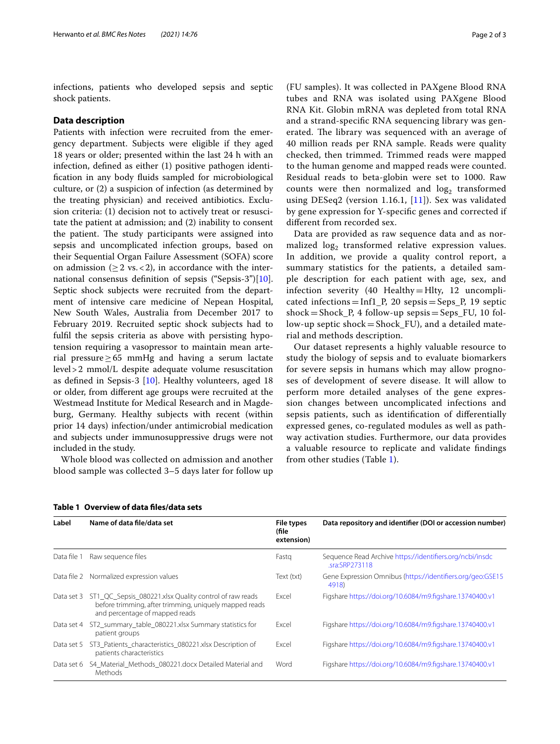infections, patients who developed sepsis and septic shock patients.

## **Data description**

Patients with infection were recruited from the emergency department. Subjects were eligible if they aged 18 years or older; presented within the last 24 h with an infection, defned as either (1) positive pathogen identifcation in any body fuids sampled for microbiological culture, or (2) a suspicion of infection (as determined by the treating physician) and received antibiotics. Exclusion criteria: (1) decision not to actively treat or resuscitate the patient at admission; and (2) inability to consent the patient. The study participants were assigned into sepsis and uncomplicated infection groups, based on their Sequential Organ Failure Assessment (SOFA) score on admission ( $\geq 2$  vs. < 2), in accordance with the international consensus defnition of sepsis ("Sepsis-3")[\[10](#page-2-9)]. Septic shock subjects were recruited from the department of intensive care medicine of Nepean Hospital, New South Wales, Australia from December 2017 to February 2019. Recruited septic shock subjects had to fulfl the sepsis criteria as above with persisting hypotension requiring a vasopressor to maintain mean arterial pressure≥65 mmHg and having a serum lactate level>2 mmol/L despite adequate volume resuscitation as defned in Sepsis-3 [[10\]](#page-2-9). Healthy volunteers, aged 18 or older, from diferent age groups were recruited at the Westmead Institute for Medical Research and in Magdeburg, Germany. Healthy subjects with recent (within prior 14 days) infection/under antimicrobial medication and subjects under immunosuppressive drugs were not included in the study.

Whole blood was collected on admission and another blood sample was collected 3–5 days later for follow up (FU samples). It was collected in PAXgene Blood RNA tubes and RNA was isolated using PAXgene Blood RNA Kit. Globin mRNA was depleted from total RNA and a strand-specifc RNA sequencing library was generated. The library was sequenced with an average of 40 million reads per RNA sample. Reads were quality checked, then trimmed. Trimmed reads were mapped to the human genome and mapped reads were counted. Residual reads to beta-globin were set to 1000. Raw counts were then normalized and  $log<sub>2</sub>$  transformed using DESeq2 (version 1.16.1,  $[11]$  $[11]$  $[11]$ ). Sex was validated by gene expression for Y-specifc genes and corrected if diferent from recorded sex.

Data are provided as raw sequence data and as normalized  $log<sub>2</sub>$  transformed relative expression values. In addition, we provide a quality control report, a summary statistics for the patients, a detailed sample description for each patient with age, sex, and infection severity (40 Healthy=Hlty, 12 uncomplicated infections =  $Inf1_P$ , 20 sepsis = Seps<sub>-P</sub>, 19 septic shock=Shock\_P, 4 follow-up sepsis=Seps\_FU, 10 follow-up septic shock=Shock\_FU), and a detailed material and methods description.

Our dataset represents a highly valuable resource to study the biology of sepsis and to evaluate biomarkers for severe sepsis in humans which may allow prognoses of development of severe disease. It will allow to perform more detailed analyses of the gene expression changes between uncomplicated infections and sepsis patients, such as identifcation of diferentially expressed genes, co-regulated modules as well as pathway activation studies. Furthermore, our data provides a valuable resource to replicate and validate fndings from other studies (Table [1\)](#page-1-0).

| Label       | Name of data file/data set                                                                                                                                    | File types<br>(file<br>extension) | Data repository and identifier (DOI or accession number)                  |
|-------------|---------------------------------------------------------------------------------------------------------------------------------------------------------------|-----------------------------------|---------------------------------------------------------------------------|
| Data file 1 | Raw sequence files                                                                                                                                            | Fastg                             | Sequence Read Archive https://identifiers.org/ncbi/insdc<br>sra:SRP273118 |
|             | Data file 2 Normalized expression values                                                                                                                      | Text (txt)                        | Gene Expression Omnibus (https://identifiers.org/geo:GSE15<br>4918)       |
|             | Data set 3 ST1_QC_Sepsis_080221.xlsx Quality control of raw reads<br>before trimming, after trimming, uniquely mapped reads<br>and percentage of mapped reads | Excel                             | Figshare https://doi.org/10.6084/m9.figshare.13740400.v1                  |
| Data set 4  | ST2_summary_table_080221.xlsx Summary statistics for<br>patient groups                                                                                        | Excel                             | Figshare https://doi.org/10.6084/m9.figshare.13740400.v1                  |
| Data set 5  | ST3 Patients characteristics 080221.xlsx Description of<br>patients characteristics                                                                           | Excel                             | Figshare https://doi.org/10.6084/m9.figshare.13740400.v1                  |
| Data set 6  | S4 Material Methods 080221.docx Detailed Material and<br>Methods                                                                                              | Word                              | Figshare https://doi.org/10.6084/m9.figshare.13740400.v1                  |

#### <span id="page-1-0"></span>**Table 1 Overview of data fles/data sets**